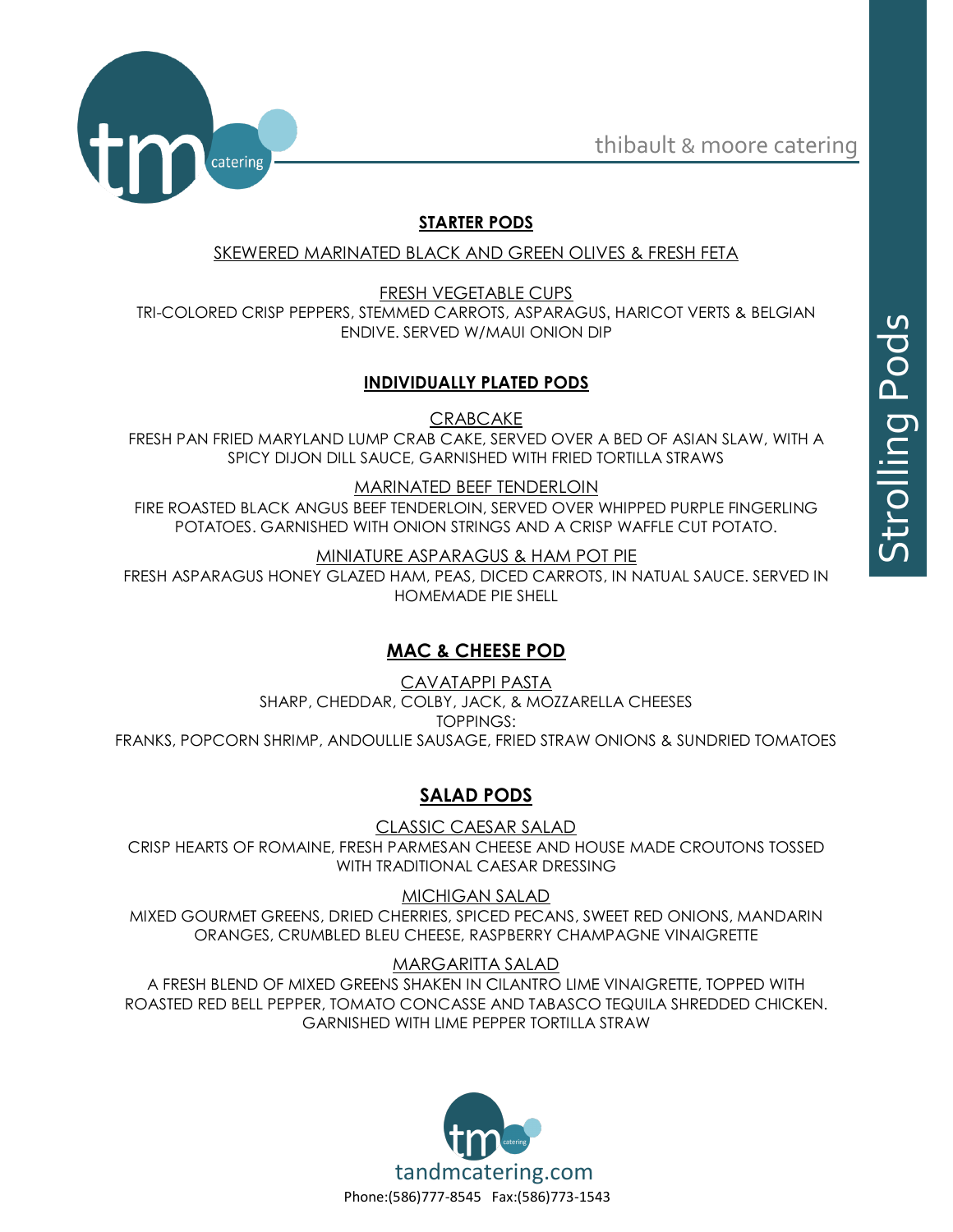thibault & moore catering



# **STARTER PODS**

SKEWERED MARINATED BLACK AND GREEN OLIVES & FRESH FETA

FRESH VEGETABLE CUPS TRI-COLORED CRISP PEPPERS, STEMMED CARROTS, ASPARAGUS, HARICOT VERTS & BELGIAN ENDIVE. SERVED W/MAUI ONION DIP

### **INDIVIDUALLY PLATED PODS**

**CRABCAKE** 

FRESH PAN FRIED MARYLAND LUMP CRAB CAKE, SERVED OVER A BED OF ASIAN SLAW, WITH A SPICY DIJON DILL SAUCE, GARNISHED WITH FRIED TORTILLA STRAWS

### MARINATED BEEF TENDERLOIN

FIRE ROASTED BLACK ANGUS BEEF TENDERLOIN, SERVED OVER WHIPPED PURPLE FINGERLING POTATOES. GARNISHED WITH ONION STRINGS AND A CRISP WAFFLE CUT POTATO.

MINIATURE ASPARAGUS & HAM POT PIE

FRESH ASPARAGUS HONEY GLAZED HAM, PEAS, DICED CARROTS, IN NATUAL SAUCE. SERVED IN HOMEMADE PIE SHELL

# **MAC & CHEESE POD**

CAVATAPPI PASTA SHARP, CHEDDAR, COLBY, JACK, & MOZZARELLA CHEESES TOPPINGS: FRANKS, POPCORN SHRIMP, ANDOULLIE SAUSAGE, FRIED STRAW ONIONS & SUNDRIED TOMATOES

# **SALAD PODS**

CLASSIC CAESAR SALAD CRISP HEARTS OF ROMAINE, FRESH PARMESAN CHEESE AND HOUSE MADE CROUTONS TOSSED WITH TRADITIONAL CAESAR DRESSING

MICHIGAN SALAD MIXED GOURMET GREENS, DRIED CHERRIES, SPICED PECANS, SWEET RED ONIONS, MANDARIN ORANGES, CRUMBLED BLEU CHEESE, RASPBERRY CHAMPAGNE VINAIGRETTE

MARGARITTA SALAD

A FRESH BLEND OF MIXED GREENS SHAKEN IN CILANTRO LIME VINAIGRETTE, TOPPED WITH ROASTED RED BELL PEPPER, TOMATO CONCASSE AND TABASCO TEQUILA SHREDDED CHICKEN. GARNISHED WITH LIME PEPPER TORTILLA STRAW